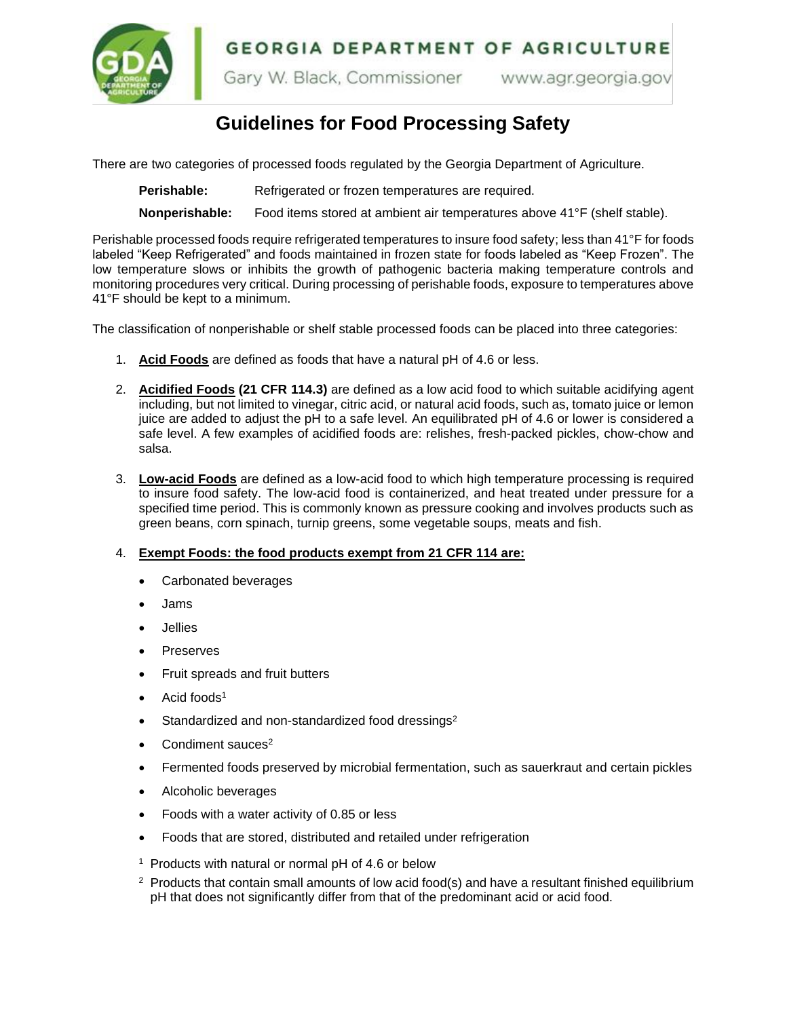**GEORGIA DEPARTMENT OF AGRICULTURE** 



Gary W. Black, Commissioner www.agr.georgia.gov

# **Guidelines for Food Processing Safety**

There are two categories of processed foods regulated by the Georgia Department of Agriculture.

Perishable: Refrigerated or frozen temperatures are required.

**Nonperishable:** Food items stored at ambient air temperatures above 41°F (shelf stable).

Perishable processed foods require refrigerated temperatures to insure food safety; less than 41°F for foods labeled "Keep Refrigerated" and foods maintained in frozen state for foods labeled as "Keep Frozen". The low temperature slows or inhibits the growth of pathogenic bacteria making temperature controls and monitoring procedures very critical. During processing of perishable foods, exposure to temperatures above 41°F should be kept to a minimum.

The classification of nonperishable or shelf stable processed foods can be placed into three categories:

- 1. **Acid Foods** are defined as foods that have a natural pH of 4.6 or less.
- 2. **Acidified Foods (21 CFR 114.3)** are defined as a low acid food to which suitable acidifying agent including, but not limited to vinegar, citric acid, or natural acid foods, such as, tomato juice or lemon juice are added to adjust the pH to a safe level. An equilibrated pH of 4.6 or lower is considered a safe level. A few examples of acidified foods are: relishes, fresh-packed pickles, chow-chow and salsa.
- 3. **Low-acid Foods** are defined as a low-acid food to which high temperature processing is required to insure food safety. The low-acid food is containerized, and heat treated under pressure for a specified time period. This is commonly known as pressure cooking and involves products such as green beans, corn spinach, turnip greens, some vegetable soups, meats and fish.

### 4. **Exempt Foods: the food products exempt from 21 CFR 114 are:**

- Carbonated beverages
- Jams
- **Jellies**
- **Preserves**
- Fruit spreads and fruit butters
- Acid foods<sup>1</sup>
- Standardized and non-standardized food dressings<sup>2</sup>
- Condiment sauces<sup>2</sup>
- Fermented foods preserved by microbial fermentation, such as sauerkraut and certain pickles
- Alcoholic beverages
- Foods with a water activity of 0.85 or less
- Foods that are stored, distributed and retailed under refrigeration
- <sup>1</sup> Products with natural or normal pH of 4.6 or below
- <sup>2</sup> Products that contain small amounts of low acid food(s) and have a resultant finished equilibrium pH that does not significantly differ from that of the predominant acid or acid food.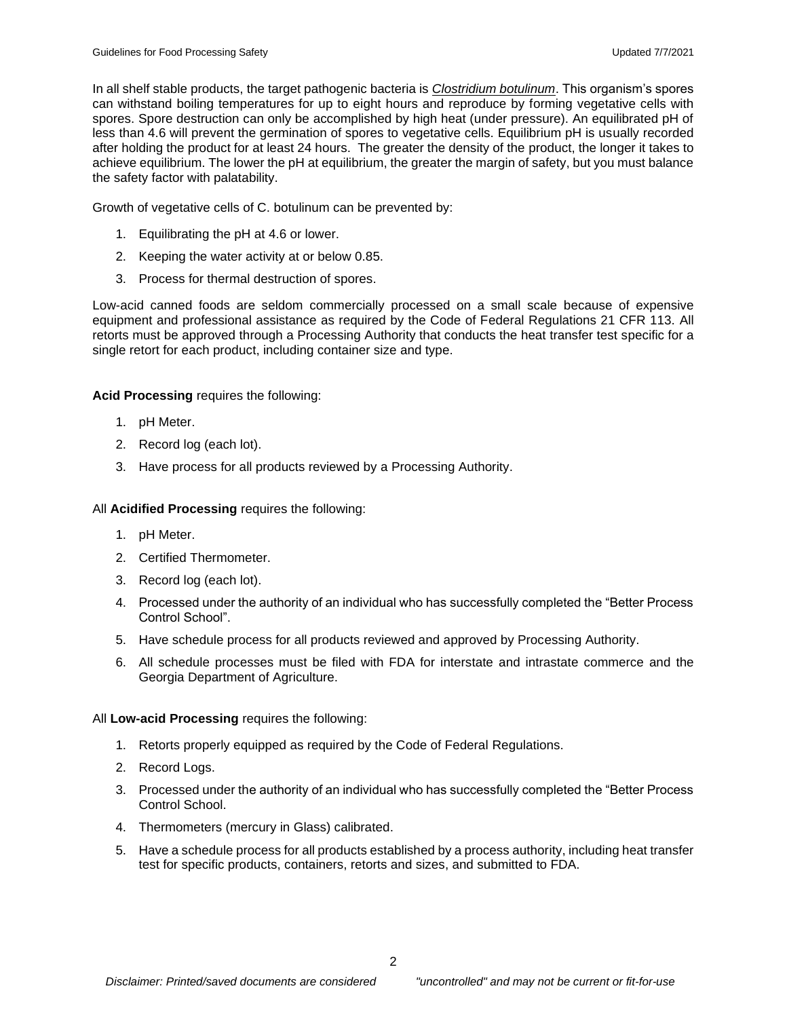In all shelf stable products, the target pathogenic bacteria is *Clostridium botulinum*. This organism's spores can withstand boiling temperatures for up to eight hours and reproduce by forming vegetative cells with spores. Spore destruction can only be accomplished by high heat (under pressure). An equilibrated pH of less than 4.6 will prevent the germination of spores to vegetative cells. Equilibrium pH is usually recorded after holding the product for at least 24 hours. The greater the density of the product, the longer it takes to achieve equilibrium. The lower the pH at equilibrium, the greater the margin of safety, but you must balance the safety factor with palatability.

Growth of vegetative cells of C. botulinum can be prevented by:

- 1. Equilibrating the pH at 4.6 or lower.
- 2. Keeping the water activity at or below 0.85.
- 3. Process for thermal destruction of spores.

Low-acid canned foods are seldom commercially processed on a small scale because of expensive equipment and professional assistance as required by the Code of Federal Regulations 21 CFR 113. All retorts must be approved through a Processing Authority that conducts the heat transfer test specific for a single retort for each product, including container size and type.

# **Acid Processing** requires the following:

- 1. pH Meter.
- 2. Record log (each lot).
- 3. Have process for all products reviewed by a Processing Authority.

All **Acidified Processing** requires the following:

- 1. pH Meter.
- 2. Certified Thermometer.
- 3. Record log (each lot).
- 4. Processed under the authority of an individual who has successfully completed the "Better Process Control School".
- 5. Have schedule process for all products reviewed and approved by Processing Authority.
- 6. All schedule processes must be filed with FDA for interstate and intrastate commerce and the Georgia Department of Agriculture.

### All **Low-acid Processing** requires the following:

- 1. Retorts properly equipped as required by the Code of Federal Regulations.
- 2. Record Logs.
- 3. Processed under the authority of an individual who has successfully completed the "Better Process Control School.
- 4. Thermometers (mercury in Glass) calibrated.
- 5. Have a schedule process for all products established by a process authority, including heat transfer test for specific products, containers, retorts and sizes, and submitted to FDA.